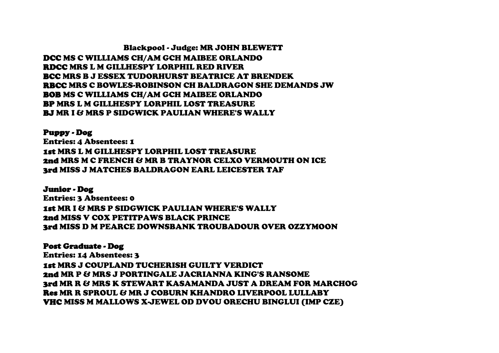Blackpool - Judge: MR JOHN BLEWETT DCC MS C WILLIAMS CH/AM GCH MAIBEE ORLANDO RDCC MRS L M GILLHESPY LORPHIL RED RIVER BCC MRS B J ESSEX TUDORHURST BEATRICE AT BRENDEK RBCC MRS C BOWLES-ROBINSON CH BALDRAGON SHE DEMANDS JW BOB MS C WILLIAMS CH/AM GCH MAIBEE ORLANDO BP MRS L M GILLHESPY LORPHIL LOST TREASURE BJ MR I & MRS P SIDGWICK PAULIAN WHERE'S WALLY

Puppy - Dog Entries: 4 Absentees: 1 1st MRS L M GILLHESPY LORPHIL LOST TREASURE 2nd MRS M C FRENCH & MR B TRAYNOR CELXO VERMOUTH ON ICE

3rd MISS J MATCHES BALDRAGON EARL LEICESTER TAF

Junior - Dog Entries: 3 Absentees: 0 1st MR I & MRS P SIDGWICK PAULIAN WHERE'S WALLY 2nd MISS V COX PETITPAWS BLACK PRINCE 3rd MISS D M PEARCE DOWNSBANK TROUBADOUR OVER OZZYMOON

## Post Graduate - Dog

Entries: 14 Absentees: 3 1st MRS J COUPLAND TUCHERISH GUILTY VERDICT 2nd MR P & MRS J PORTINGALE JACRIANNA KING'S RANSOME 3rd MR R & MRS K STEWART KASAMANDA JUST A DREAM FOR MARCHOG Res MR R SPROUL & MR J COBURN KHANDRO LIVERPOOL LULLABY VHC MISS M MALLOWS X-JEWEL OD DVOU ORECHU BINGLUI (IMP CZE)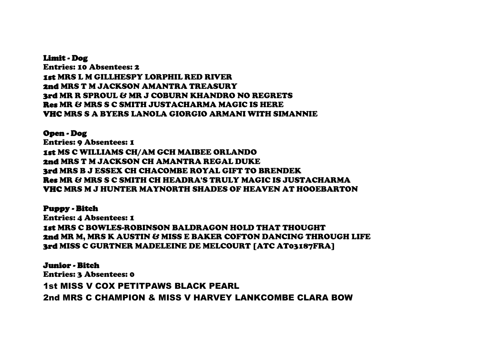Limit - Dog Entries: 10 Absentees: 2 1st MRS L M GILLHESPY LORPHIL RED RIVER 2nd MRS T M JACKSON AMANTRA TREASURY 3rd MR R SPROUL & MR J COBURN KHANDRO NO REGRETS Res MR & MRS S C SMITH JUSTACHARMA MAGIC IS HERE VHC MRS S A BYERS LANOLA GIORGIO ARMANI WITH SIMANNIE

Open - Dog Entries: 9 Absentees: 1 1st MS C WILLIAMS CH/AM GCH MAIBEE ORLANDO 2nd MRS T M JACKSON CH AMANTRA REGAL DUKE 3rd MRS B J ESSEX CH CHACOMBE ROYAL GIFT TO BRENDEK Res MR & MRS S C SMITH CH HEADRA'S TRULY MAGIC IS JUSTACHARMA VHC MRS M J HUNTER MAYNORTH SHADES OF HEAVEN AT HOOEBARTON

Puppy - Bitch

Entries: 4 Absentees: 1 1st MRS C BOWLES-ROBINSON BALDRAGON HOLD THAT THOUGHT 2nd MR M, MRS K AUSTIN & MISS E BAKER COFTON DANCING THROUGH LIFE 3rd MISS C GURTNER MADELEINE DE MELCOURT [ATC AT03187FRA]

Junior - Bitch Entries: 3 Absentees: 0 1st MISS V COX PETITPAWS BLACK PEARL 2nd MRS C CHAMPION & MISS V HARVEY LANKCOMBE CLARA BOW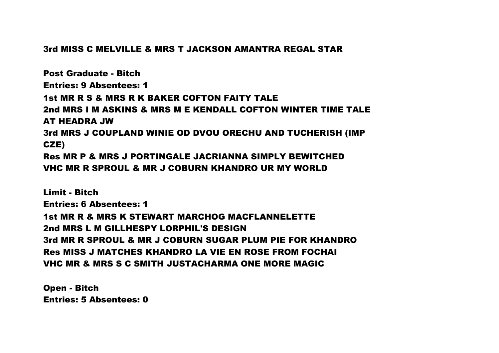## 3rd MISS C MELVILLE & MRS T JACKSON AMANTRA REGAL STAR

Post Graduate - Bitch Entries: 9 Absentees: 1 1st MR R S & MRS R K BAKER COFTON FAITY TALE 2nd MRS I M ASKINS & MRS M E KENDALL COFTON WINTER TIME TALE AT HEADRA JW 3rd MRS J COUPLAND WINIE OD DVOU ORECHU AND TUCHERISH (IMP CZE) Res MR P & MRS J PORTINGALE JACRIANNA SIMPLY BEWITCHED VHC MR R SPROUL & MR J COBURN KHANDRO UR MY WORLD

Limit - Bitch Entries: 6 Absentees: 1 1st MR R & MRS K STEWART MARCHOG MACFLANNELETTE 2nd MRS L M GILLHESPY LORPHIL'S DESIGN 3rd MR R SPROUL & MR J COBURN SUGAR PLUM PIE FOR KHANDRO Res MISS J MATCHES KHANDRO LA VIE EN ROSE FROM FOCHAI VHC MR & MRS S C SMITH JUSTACHARMA ONE MORE MAGIC

Open - Bitch Entries: 5 Absentees: 0